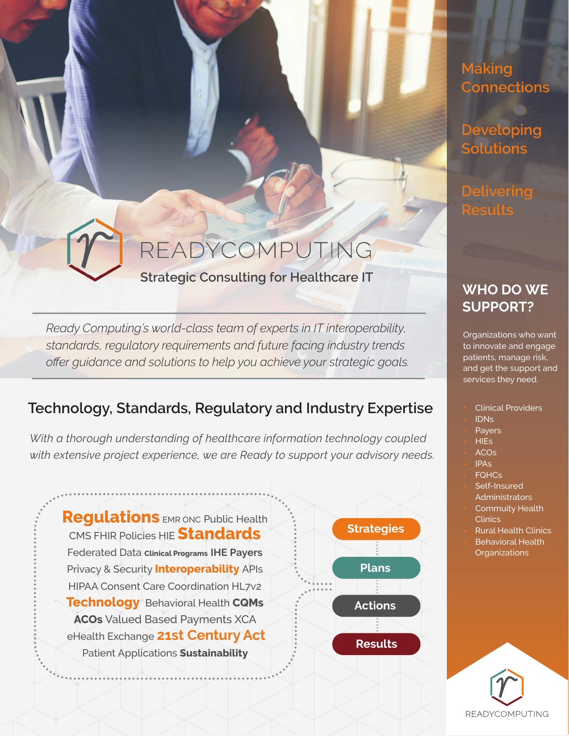## **Making Connections**

**Developing Solutions**

**Delivering Results**

## **WHO DO WE SUPPORT?**

Organizations who want to innovate and engage patients, manage risk, and get the support and services they need.

- Clinical Providers
- IDNs
- Payers
- HIEs
- ACOs
- IPAs
- **FQHCs**
- Self-Insured Administrators
- Commuity Health **Clinics**
- Rural Health Clinics
- Behavioral Health
- **Organizations**



# READYCOMPUTING

## **Strategic Consulting for Healthcare IT**

*Ready Computing's world-class team of experts in IT interoperability, standards, regulatory requirements and future facing industry trends offer guidance and solutions to help you achieve your strategic goals.* 

## **Technology, Standards, Regulatory and Industry Expertise**

*With a thorough understanding of healthcare information technology coupled with extensive project experience, we are Ready to support your advisory needs.*